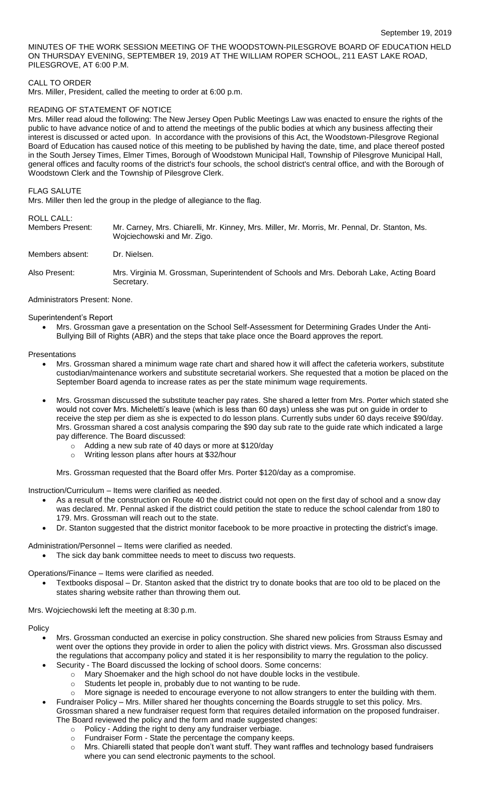MINUTES OF THE WORK SESSION MEETING OF THE WOODSTOWN-PILESGROVE BOARD OF EDUCATION HELD ON THURSDAY EVENING, SEPTEMBER 19, 2019 AT THE WILLIAM ROPER SCHOOL, 211 EAST LAKE ROAD, PILESGROVE, AT 6:00 P.M.

# CALL TO ORDER

Mrs. Miller, President, called the meeting to order at 6:00 p.m.

# READING OF STATEMENT OF NOTICE

Mrs. Miller read aloud the following: The New Jersey Open Public Meetings Law was enacted to ensure the rights of the public to have advance notice of and to attend the meetings of the public bodies at which any business affecting their interest is discussed or acted upon. In accordance with the provisions of this Act, the Woodstown-Pilesgrove Regional Board of Education has caused notice of this meeting to be published by having the date, time, and place thereof posted in the South Jersey Times, Elmer Times, Borough of Woodstown Municipal Hall, Township of Pilesgrove Municipal Hall, general offices and faculty rooms of the district's four schools, the school district's central office, and with the Borough of Woodstown Clerk and the Township of Pilesgrove Clerk.

### FLAG SALUTE

Mrs. Miller then led the group in the pledge of allegiance to the flag.

### ROLL CALL:

| Members Present: | Mr. Carney, Mrs. Chiarelli, Mr. Kinney, Mrs. Miller, Mr. Morris, Mr. Pennal, Dr. Stanton, Ms.<br>Wojciechowski and Mr. Zigo. |
|------------------|------------------------------------------------------------------------------------------------------------------------------|
| Members absent:  | Dr. Nielsen.                                                                                                                 |
| Also Present:    | Mrs. Virginia M. Grossman, Superintendent of Schools and Mrs. Deborah Lake, Acting Board<br>Secretary.                       |

### Administrators Present: None.

Superintendent's Report

 Mrs. Grossman gave a presentation on the School Self-Assessment for Determining Grades Under the Anti-Bullying Bill of Rights (ABR) and the steps that take place once the Board approves the report.

Presentations

- Mrs. Grossman shared a minimum wage rate chart and shared how it will affect the cafeteria workers, substitute custodian/maintenance workers and substitute secretarial workers. She requested that a motion be placed on the September Board agenda to increase rates as per the state minimum wage requirements.
- Mrs. Grossman discussed the substitute teacher pay rates. She shared a letter from Mrs. Porter which stated she would not cover Mrs. Micheletti's leave (which is less than 60 days) unless she was put on guide in order to receive the step per diem as she is expected to do lesson plans. Currently subs under 60 days receive \$90/day. Mrs. Grossman shared a cost analysis comparing the \$90 day sub rate to the guide rate which indicated a large pay difference. The Board discussed:
	- o Adding a new sub rate of 40 days or more at \$120/day
	- o Writing lesson plans after hours at \$32/hour

Mrs. Grossman requested that the Board offer Mrs. Porter \$120/day as a compromise.

Instruction/Curriculum – Items were clarified as needed.

- As a result of the construction on Route 40 the district could not open on the first day of school and a snow day was declared. Mr. Pennal asked if the district could petition the state to reduce the school calendar from 180 to 179. Mrs. Grossman will reach out to the state.
- Dr. Stanton suggested that the district monitor facebook to be more proactive in protecting the district's image.

Administration/Personnel – Items were clarified as needed.

The sick day bank committee needs to meet to discuss two requests.

Operations/Finance – Items were clarified as needed.

 Textbooks disposal – Dr. Stanton asked that the district try to donate books that are too old to be placed on the states sharing website rather than throwing them out.

Mrs. Wojciechowski left the meeting at 8:30 p.m.

# **Policy**

- Mrs. Grossman conducted an exercise in policy construction. She shared new policies from Strauss Esmay and went over the options they provide in order to alien the policy with district views. Mrs. Grossman also discussed the regulations that accompany policy and stated it is her responsibility to marry the regulation to the policy.
- Security The Board discussed the locking of school doors. Some concerns:
	- o Mary Shoemaker and the high school do not have double locks in the vestibule.
		- o Students let people in, probably due to not wanting to be rude.
		- More signage is needed to encourage everyone to not allow strangers to enter the building with them.
- Fundraiser Policy Mrs. Miller shared her thoughts concerning the Boards struggle to set this policy. Mrs. Grossman shared a new fundraiser request form that requires detailed information on the proposed fundraiser. The Board reviewed the policy and the form and made suggested changes:
	- o Policy Adding the right to deny any fundraiser verbiage.
	- o Fundraiser Form State the percentage the company keeps.
	- o Mrs. Chiarelli stated that people don't want stuff. They want raffles and technology based fundraisers where you can send electronic payments to the school.